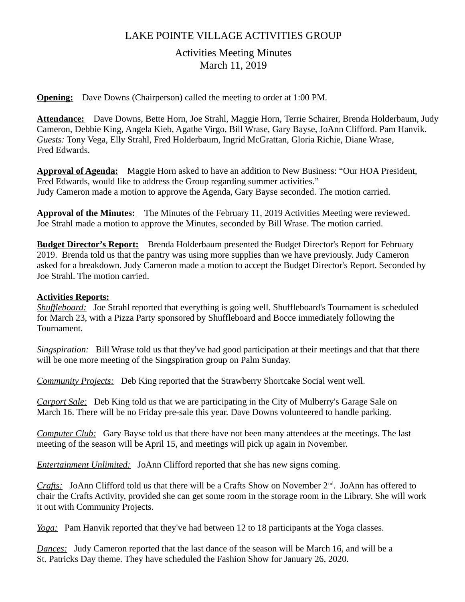# LAKE POINTE VILLAGE ACTIVITIES GROUP

# Activities Meeting Minutes March 11, 2019

**Opening:** Dave Downs (Chairperson) called the meeting to order at 1:00 PM.

**Attendance:** Dave Downs, Bette Horn, Joe Strahl, Maggie Horn, Terrie Schairer, Brenda Holderbaum, Judy Cameron, Debbie King, Angela Kieb, Agathe Virgo, Bill Wrase, Gary Bayse, JoAnn Clifford. Pam Hanvik. *Guests:* Tony Vega, Elly Strahl, Fred Holderbaum, Ingrid McGrattan, Gloria Richie, Diane Wrase, Fred Edwards.

**Approval of Agenda:** Maggie Horn asked to have an addition to New Business: "Our HOA President, Fred Edwards, would like to address the Group regarding summer activities." Judy Cameron made a motion to approve the Agenda, Gary Bayse seconded. The motion carried.

**Approval of the Minutes:** The Minutes of the February 11, 2019 Activities Meeting were reviewed. Joe Strahl made a motion to approve the Minutes, seconded by Bill Wrase. The motion carried.

**Budget Director's Report:** Brenda Holderbaum presented the Budget Director's Report for February 2019. Brenda told us that the pantry was using more supplies than we have previously. Judy Cameron asked for a breakdown. Judy Cameron made a motion to accept the Budget Director's Report. Seconded by Joe Strahl. The motion carried.

### **Activities Reports:**

*Shuffleboard:* Joe Strahl reported that everything is going well. Shuffleboard's Tournament is scheduled for March 23, with a Pizza Party sponsored by Shuffleboard and Bocce immediately following the Tournament.

*Singspiration:* Bill Wrase told us that they've had good participation at their meetings and that that there will be one more meeting of the Singspiration group on Palm Sunday.

*Community Projects:* Deb King reported that the Strawberry Shortcake Social went well.

*Carport Sale:* Deb King told us that we are participating in the City of Mulberry's Garage Sale on March 16. There will be no Friday pre-sale this year. Dave Downs volunteered to handle parking.

*Computer Club:* Gary Bayse told us that there have not been many attendees at the meetings. The last meeting of the season will be April 15, and meetings will pick up again in November.

*Entertainment Unlimited:* JoAnn Clifford reported that she has new signs coming.

*Crafts:* JoAnn Clifford told us that there will be a Crafts Show on November 2<sup>nd</sup>. JoAnn has offered to chair the Crafts Activity, provided she can get some room in the storage room in the Library. She will work it out with Community Projects.

*Yoga:* Pam Hanvik reported that they've had between 12 to 18 participants at the Yoga classes.

*Dances:* Judy Cameron reported that the last dance of the season will be March 16, and will be a St. Patricks Day theme. They have scheduled the Fashion Show for January 26, 2020.